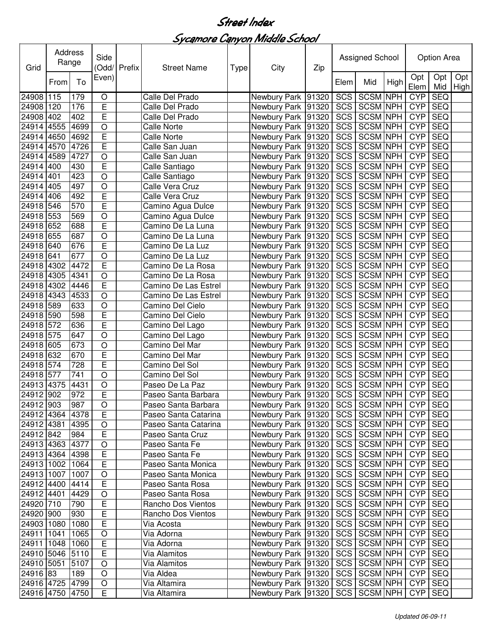| Grid            | Address<br>Range |      | Side<br>Odd/ Prefix |  | <b>Street Name</b><br>Type |  | City                                  | Zip |            | Assigned School |      | Option Area |            |                          |
|-----------------|------------------|------|---------------------|--|----------------------------|--|---------------------------------------|-----|------------|-----------------|------|-------------|------------|--------------------------|
|                 | From             | To   | Even)               |  |                            |  |                                       |     | Elem       | Mid             | High | Opt<br>Elem | Opt<br>Mid | Opt<br>High <sup>1</sup> |
| 24908 115       |                  | 179  | O                   |  | Calle Del Prado            |  | Newbury Park 91320                    |     | <b>SCS</b> | <b>SCSM NPH</b> |      | <b>CYP</b>  | <b>SEQ</b> |                          |
| 24908           | 120              | 176  | E                   |  | Calle Del Prado            |  | Newbury Park 91320                    |     | SCS        | <b>SCSM NPH</b> |      | <b>CYP</b>  | <b>SEQ</b> |                          |
| 24908           | 402              | 402  | E                   |  | Calle Del Prado            |  | Newbury Park 91320                    |     | SCS        | <b>SCSM NPH</b> |      | <b>CYP</b>  | <b>SEQ</b> |                          |
| 24914           | 4555             | 4699 | $\bigcirc$          |  | <b>Calle Norte</b>         |  | Newbury Park 91320                    |     | <b>SCS</b> | <b>SCSM NPH</b> |      | <b>CYP</b>  | <b>SEQ</b> |                          |
| 24914           | 4650             | 4692 | E                   |  | <b>Calle Norte</b>         |  | Newbury Park 91320                    |     | SCS        | SCSM NPH        |      | <b>CYP</b>  | <b>SEQ</b> |                          |
| 24914           | 4570             | 4726 | E                   |  | Calle San Juan             |  | Newbury Park 91320                    |     | SCS        | SCSM NPH        |      | <b>CYP</b>  | <b>SEQ</b> |                          |
| 24914           | 4589             | 4727 | $\circ$             |  | Calle San Juan             |  | Newbury Park 91320                    |     | SCS        | <b>SCSM NPH</b> |      | <b>CYP</b>  | <b>SEQ</b> |                          |
| 24914           | 400              | 430  | E                   |  | Calle Santiago             |  | Newbury Park 91320                    |     | SCS        | SCSM NPH        |      | <b>CYP</b>  | <b>SEQ</b> |                          |
| 24914           | 401              | 423  | $\bigcirc$          |  | Calle Santiago             |  | Newbury Park 91320                    |     | SCS        | <b>SCSM NPH</b> |      | <b>CYP</b>  | <b>SEQ</b> |                          |
| 24914           | 405              | 497  | $\circ$             |  | Calle Vera Cruz            |  | Newbury Park 91320                    |     | <b>SCS</b> | <b>SCSM NPH</b> |      | <b>CYP</b>  | <b>SEQ</b> |                          |
| 24914           | 406              | 492  | E                   |  | Calle Vera Cruz            |  | Newbury Park 91320                    |     | <b>SCS</b> | <b>SCSM NPH</b> |      | <b>CYP</b>  | SEQ        |                          |
| 24918 546       |                  | 570  | E                   |  | Camino Agua Dulce          |  | Newbury Park 91320                    |     | SCS        | <b>SCSM NPH</b> |      | <b>CYP</b>  | <b>SEQ</b> |                          |
| 24918 553       |                  | 569  | $\circ$             |  | Camino Agua Dulce          |  | Newbury Park 91320                    |     | SCS        | <b>SCSM NPH</b> |      | <b>CYP</b>  | <b>SEQ</b> |                          |
| 24918 652       |                  | 688  | E                   |  | Camino De La Luna          |  | Newbury Park 91320                    |     | SCS        | SCSM NPH        |      | <b>CYP</b>  | <b>SEQ</b> |                          |
| 24918           | 655              | 687  | $\circ$             |  | Camino De La Luna          |  | Newbury Park 91320                    |     | SCS        | <b>SCSM NPH</b> |      | <b>CYP</b>  | <b>SEQ</b> |                          |
| 24918           | 640              | 676  | E                   |  | Camino De La Luz           |  | Newbury Park 91320                    |     | SCS        | <b>SCSM NPH</b> |      | <b>CYP</b>  | <b>SEQ</b> |                          |
| 24918           | 641              | 677  | $\circ$             |  | Camino De La Luz           |  | Newbury Park 91320                    |     | SCS        | <b>SCSM NPH</b> |      | <b>CYP</b>  | <b>SEQ</b> |                          |
| 24918           | 4302             | 4472 | $\overline{E}$      |  | Camino De La Rosa          |  | Newbury Park 91320                    |     | SCS        | <b>SCSM NPH</b> |      | <b>CYP</b>  | <b>SEQ</b> |                          |
| 24918           | 4305             | 4341 | $\circ$             |  | Camino De La Rosa          |  | Newbury Park 91320                    |     | SCS        | <b>SCSM NPH</b> |      | <b>CYP</b>  | <b>SEQ</b> |                          |
| 24918 4302      |                  | 4446 | E                   |  | Camino De Las Estrel       |  | Newbury Park 91320                    |     | SCS        | <b>SCSM NPH</b> |      | <b>CYP</b>  | <b>SEQ</b> |                          |
| 24918 4343      |                  | 4533 | O                   |  | Camino De Las Estrel       |  | Newbury Park 91320                    |     | SCS        | <b>SCSM NPH</b> |      | <b>CYP</b>  | <b>SEQ</b> |                          |
| 24918 589       |                  | 633  | $\bigcirc$          |  | Camino Del Cielo           |  | Newbury Park 91320                    |     | SCS        | SCSM NPH        |      | <b>CYP</b>  | <b>SEQ</b> |                          |
| 24918 590       |                  | 598  | E                   |  | Camino Del Cielo           |  | Newbury Park 91320                    |     | SCS        | SCSM NPH        |      | <b>CYP</b>  | <b>SEQ</b> |                          |
| 24918 572       |                  | 636  | E                   |  | Camino Del Lago            |  | Newbury Park 91320                    |     | SCS        | SCSM NPH        |      | <b>CYP</b>  | <b>SEQ</b> |                          |
| 24918           | 575              | 647  | $\bigcirc$          |  | Camino Del Lago            |  | Newbury Park 91320                    |     | SCS        | <b>SCSM NPH</b> |      | <b>CYP</b>  | <b>SEQ</b> |                          |
| 24918 605       |                  | 673  | $\circ$             |  | Camino Del Mar             |  | Newbury Park 91320                    |     | SCS        | <b>SCSM NPH</b> |      | <b>CYP</b>  | <b>SEQ</b> |                          |
| 24918           | 632              | 670  | E                   |  | Camino Del Mar             |  | Newbury Park 91320                    |     | SCS        | <b>SCSM NPH</b> |      | <b>CYP</b>  | <b>SEQ</b> |                          |
| 24918           | 574              | 728  | E                   |  | Camino Del Sol             |  | Newbury Park 91320                    |     | <b>SCS</b> | <b>SCSM NPH</b> |      | <b>CYP</b>  | <b>SEQ</b> |                          |
| 24918 577       |                  | 741  | $\circ$             |  | Camino Del Sol             |  | Newbury Park 91320                    |     | SCS        | <b>SCSM NPH</b> |      | <b>CYP</b>  | <b>SEQ</b> |                          |
| 24913 4375      |                  | 4431 | $\bigcirc$          |  | Paseo De La Paz            |  | Newbury Park 91320                    |     | SCS        | <b>SCSM NPH</b> |      | <b>CYP</b>  | <b>SEQ</b> |                          |
| 24912 902       |                  | 972  | E                   |  | Paseo Santa Barbara        |  | Newbury Park 91320                    |     |            | SCS SCSM NPH    |      | <b>CYP</b>  | <b>SEQ</b> |                          |
| 24912 903       |                  | 987  | $\overline{O}$      |  | Paseo Santa Barbara        |  | Newbury Park 91320 SCS SCSM NPH CYP   |     |            |                 |      |             | SEQ        |                          |
| 24912 4364 4378 |                  |      | E                   |  | Paseo Santa Catarina       |  | Newbury Park   91320   SCS   SCSM NPH |     |            |                 |      | <b>CYP</b>  | <b>SEQ</b> |                          |
| 24912 4381      |                  | 4395 | $\hbox{O}$          |  | Paseo Santa Catarina       |  | Newbury Park 91320                    |     |            | SCS SCSM NPH    |      | <b>CYP</b>  | <b>SEQ</b> |                          |
| 24912 842       |                  | 984  | $\overline{E}$      |  | Paseo Santa Cruz           |  | Newbury Park 91320                    |     | SCS        | SCSM NPH        |      | <b>CYP</b>  | <b>SEQ</b> |                          |
| 24913 4363      |                  | 4377 | $\bigcirc$          |  | Paseo Santa Fe             |  | Newbury Park 91320                    |     |            | SCS SCSM NPH    |      | <b>CYP</b>  | <b>SEQ</b> |                          |
| 24913 4364      |                  | 4398 | E                   |  | Paseo Santa Fe             |  | Newbury Park 91320                    |     |            | SCS SCSM NPH    |      | <b>CYP</b>  | <b>SEQ</b> |                          |
| 24913 1002      |                  | 1064 | E                   |  | Paseo Santa Monica         |  | Newbury Park 91320                    |     |            | SCS SCSM NPH    |      | <b>CYP</b>  | <b>SEQ</b> |                          |
| 24913 1007      |                  | 1007 | O                   |  | Paseo Santa Monica         |  | Newbury Park 91320                    |     |            | SCS SCSM NPH    |      | <b>CYP</b>  | <b>SEQ</b> |                          |
| 24912 4400      |                  | 4414 | E                   |  | Paseo Santa Rosa           |  | Newbury Park 91320                    |     |            | SCS SCSM NPH    |      | <b>CYP</b>  | <b>SEQ</b> |                          |
| 24912 4401      |                  | 4429 | $\bigcirc$          |  | Paseo Santa Rosa           |  | Newbury Park 91320                    |     |            | SCS SCSM NPH    |      | <b>CYP</b>  | <b>SEQ</b> |                          |
| 24920 710       |                  | 790  | E                   |  | Rancho Dos Vientos         |  | Newbury Park 91320                    |     | <b>SCS</b> | SCSM NPH        |      | <b>CYP</b>  | <b>SEQ</b> |                          |
| 24920 900       |                  | 930  | $\overline{E}$      |  | Rancho Dos Vientos         |  | Newbury Park 91320                    |     | SCS        | SCSM NPH        |      | <b>CYP</b>  | <b>SEQ</b> |                          |
| 24903 1080      |                  | 1080 | $\overline{E}$      |  | Via Acosta                 |  | Newbury Park 91320                    |     | <b>SCS</b> | SCSM NPH        |      | <b>CYP</b>  | <b>SEQ</b> |                          |
| 24911 1041      |                  | 1065 | $\circ$             |  | Via Adorna                 |  | Newbury Park 91320                    |     |            | SCS SCSM NPH    |      | <b>CYP</b>  | <b>SEQ</b> |                          |
| 24911 1048      |                  | 1060 | E                   |  | Via Adorna                 |  | Newbury Park 91320                    |     |            | SCS SCSM NPH    |      | <b>CYP</b>  | <b>SEQ</b> |                          |
| 24910 5046      |                  | 5110 | $\overline{E}$      |  | Via Alamitos               |  | Newbury Park 91320                    |     |            | SCS SCSM NPH    |      | <b>CYP</b>  | <b>SEQ</b> |                          |
| 24910 5051      |                  | 5107 | $\mathsf O$         |  | Via Alamitos               |  | Newbury Park 91320                    |     |            | SCS SCSM NPH    |      | <b>CYP</b>  | <b>SEQ</b> |                          |
| 24916 83        |                  | 189  | $\bigcirc$          |  | Via Aldea                  |  | Newbury Park 91320                    |     |            | SCS SCSM NPH    |      | <b>CYP</b>  | <b>SEQ</b> |                          |
| 24916 4725      |                  | 4799 | $\bigcirc$          |  | Via Altamira               |  | Newbury Park 91320                    |     |            | SCS SCSM NPH    |      | <b>CYP</b>  | <b>SEQ</b> |                          |
| 24916 4750      |                  | 4750 | $\overline{E}$      |  | Via Altamira               |  | Newbury Park 91320                    |     |            | SCS SCSM NPH    |      | <b>CYP</b>  | <b>SEQ</b> |                          |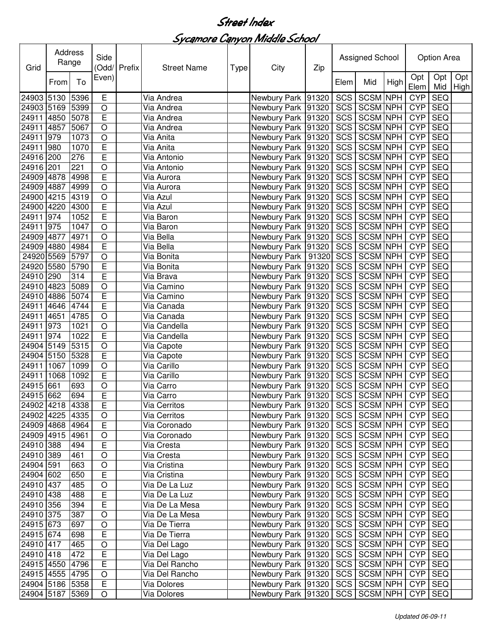| Grid            | Address<br>Range |      | Side                    | (Odd/ Prefix | <b>Street Name</b><br>Type |  | City                                  | Zip | Assigned School |                 |      | Option Area |            |             |
|-----------------|------------------|------|-------------------------|--------------|----------------------------|--|---------------------------------------|-----|-----------------|-----------------|------|-------------|------------|-------------|
|                 | From             | To   | Even)                   |              |                            |  |                                       |     | Elem            | Mid             | High | Opt<br>Elem | Opt<br>Mid | Opt<br>High |
| 24903           | 5130             | 5396 | Е                       |              | Via Andrea                 |  | Newbury Park 91320                    |     | SCS             | <b>SCSM NPH</b> |      | <b>CYP</b>  | <b>SEQ</b> |             |
| 24903 5169      |                  | 5399 | $\circ$                 |              | Via Andrea                 |  | Newbury Park 91320                    |     | SCS             | <b>SCSM NPH</b> |      | <b>CYP</b>  | <b>SEQ</b> |             |
| 24911           | 4850             | 5078 | E                       |              | Via Andrea                 |  | Newbury Park 91320                    |     | SCS             | SCSM NPH        |      | <b>CYP</b>  | <b>SEQ</b> |             |
| 24911           | 4857             | 5067 | $\circ$                 |              | Via Andrea                 |  | Newbury Park 91320                    |     | SCS             | <b>SCSM NPH</b> |      | <b>CYP</b>  | <b>SEQ</b> |             |
| 24911           | 979              | 1073 | $\circ$                 |              | Via Anita                  |  | Newbury Park 91320                    |     | SCS             | <b>SCSM NPH</b> |      | <b>CYP</b>  | <b>SEQ</b> |             |
| 24911           | 980              | 1070 | E                       |              | Via Anita                  |  | Newbury Park 91320                    |     | SCS             | <b>SCSM NPH</b> |      | <b>CYP</b>  | <b>SEQ</b> |             |
| 24916           | 200              | 276  | E                       |              | Via Antonio                |  | Newbury Park 91320                    |     | SCS             | <b>SCSM NPH</b> |      | <b>CYP</b>  | <b>SEQ</b> |             |
| 24916 201       |                  | 221  | $\circ$                 |              | Via Antonio                |  | Newbury Park 91320                    |     | SCS             | <b>SCSM NPH</b> |      | <b>CYP</b>  | <b>SEQ</b> |             |
| 24909 4878      |                  | 4998 | $\overline{E}$          |              | Via Aurora                 |  | Newbury Park 91320                    |     | SCS             | <b>SCSM NPH</b> |      | <b>CYP</b>  | <b>SEQ</b> |             |
| 24909 4887      |                  | 4999 | $\circ$                 |              | Via Aurora                 |  | Newbury Park 91320                    |     | SCS             | <b>SCSM NPH</b> |      | <b>CYP</b>  | <b>SEQ</b> |             |
| 24900 4215      |                  | 4319 | $\circ$                 |              | Via Azul                   |  | Newbury Park 91320                    |     | SCS             | <b>SCSM NPH</b> |      | <b>CYP</b>  | <b>SEQ</b> |             |
| 24900 4220      |                  | 4300 | E                       |              | Via Azul                   |  | Newbury Park 91320                    |     | SCS             | SCSM NPH        |      | <b>CYP</b>  | <b>SEQ</b> |             |
| 24911           | 974              | 1052 | E                       |              | Via Baron                  |  | Newbury Park 91320                    |     | SCS             | <b>SCSM NPH</b> |      | <b>CYP</b>  | <b>SEQ</b> |             |
| 24911           | 975              | 1047 | $\circ$                 |              | Via Baron                  |  | Newbury Park 91320                    |     | SCS             | <b>SCSM NPH</b> |      | <b>CYP</b>  | <b>SEQ</b> |             |
| 24909           | 4877             | 4971 | $\circ$                 |              | Via Bella                  |  | Newbury Park 91320                    |     | SCS             | <b>SCSM NPH</b> |      | <b>CYP</b>  | <b>SEQ</b> |             |
| 24909           | 4880             | 4984 | E                       |              | Via Bella                  |  | Newbury Park 91320                    |     | <b>SCS</b>      | <b>SCSM NPH</b> |      | <b>CYP</b>  | SEQ        |             |
| 24920 5569      |                  | 5797 | $\overline{O}$          |              | Via Bonita                 |  | Newbury Park   91320                  |     | <b>SCS</b>      | <b>SCSM NPH</b> |      | <b>CYP</b>  | SEQ        |             |
| 24920           | 5580             | 5790 | $\overline{E}$          |              | Via Bonita                 |  | Newbury Park 91320                    |     | <b>SCS</b>      | <b>SCSM NPH</b> |      | <b>CYP</b>  | <b>SEQ</b> |             |
| 24910           | 290              | 314  | E                       |              | Via Brava                  |  | Newbury Park 91320                    |     | <b>SCS</b>      | <b>SCSM NPH</b> |      | <b>CYP</b>  | <b>SEQ</b> |             |
| 24910           | 4823             | 5089 | $\circ$                 |              | Via Camino                 |  | Newbury Park 91320                    |     | <b>SCS</b>      | <b>SCSM NPH</b> |      | <b>CYP</b>  | <b>SEQ</b> |             |
| 24910           | 4886             | 5074 | $\overline{E}$          |              | Via Camino                 |  | Newbury Park 91320                    |     | <b>SCS</b>      | <b>SCSM NPH</b> |      | <b>CYP</b>  | <b>SEQ</b> |             |
| 24911           | 4646             | 4744 | E                       |              | Via Canada                 |  | Newbury Park 91320                    |     | SCS             | <b>SCSM NPH</b> |      | <b>CYP</b>  | <b>SEQ</b> |             |
| 24911           | 4651             | 4785 | $\circ$                 |              | Via Canada                 |  | Newbury Park 91320                    |     | <b>SCS</b>      | <b>SCSM NPH</b> |      | <b>CYP</b>  | <b>SEQ</b> |             |
| 24911           | 973              | 1021 | $\circ$                 |              | Via Candella               |  | Newbury Park 91320                    |     | <b>SCS</b>      | <b>SCSM NPH</b> |      | <b>CYP</b>  | <b>SEQ</b> |             |
| 24911           | 974              | 1022 | $\overline{E}$          |              | Via Candella               |  | Newbury Park 91320                    |     | <b>SCS</b>      | <b>SCSM NPH</b> |      | <b>CYP</b>  | <b>SEQ</b> |             |
| 24904 5149      |                  | 5315 | $\bigcirc$              |              | Via Capote                 |  | Newbury Park 91320                    |     | SCS             | <b>SCSM NPH</b> |      | <b>CYP</b>  | <b>SEQ</b> |             |
| 24904           | 5150             | 5328 | $\mathsf E$             |              | Via Capote                 |  | Newbury Park 91320                    |     | SCS             | <b>SCSM NPH</b> |      | <b>CYP</b>  | <b>SEQ</b> |             |
| 24911           | 1067             | 1099 | $\circ$                 |              | Via Carillo                |  | Newbury Park 91320                    |     | SCS             | <b>SCSM NPH</b> |      | <b>CYP</b>  | <b>SEQ</b> |             |
| 24911           | 1068             | 1092 | E                       |              | Via Carillo                |  | Newbury Park 91320                    |     | SCS             | SCSM NPH        |      | <b>CYP</b>  | <b>SEQ</b> |             |
| 24915 661       |                  | 693  | $\circ$                 |              | Via Carro                  |  | Newbury Park 91320                    |     | SCS             | <b>SCSM NPH</b> |      | <b>CYP</b>  | <b>SEQ</b> |             |
| 24915 662       |                  | 694  | E                       |              | Via Carro                  |  | Newbury Park 91320                    |     | SCS             | <b>SCSM NPH</b> |      | <b>CYP</b>  | <b>SEQ</b> |             |
| 24902 4218 4338 |                  |      | $\overline{\mathsf{E}}$ |              | Via Cerritos               |  | Newbury Park 91320                    |     |                 | SCS SCSM NPH    |      | <b>CYP</b>  | <b>SEQ</b> |             |
| 24902 4225      |                  | 4335 | $\circ$                 |              | Via Cerritos               |  | Newbury Park   91320   SCS   SCSM NPH |     |                 |                 |      | <b>CYP</b>  | SEQ        |             |
| 24909 4868      |                  | 4964 | $\overline{E}$          |              | Via Coronado               |  | Newbury Park 91320                    |     | SCS             | SCSM NPH        |      | <b>CYP</b>  | <b>SEQ</b> |             |
| 24909 4915      |                  | 4961 | $\bigcirc$              |              | Via Coronado               |  | Newbury Park 91320                    |     | SCS             | <b>SCSM NPH</b> |      | <b>CYP</b>  | <b>SEQ</b> |             |
| 24910 388       |                  | 494  | E                       |              | Via Cresta                 |  | Newbury Park 91320                    |     | SCS             | <b>SCSM NPH</b> |      | <b>CYP</b>  | <b>SEQ</b> |             |
| 24910 389       |                  | 461  | $\bigcirc$              |              | Via Cresta                 |  | Newbury Park 91320                    |     |                 | SCS SCSM NPH    |      | <b>CYP</b>  | <b>SEQ</b> |             |
| 24904 591       |                  | 663  | $\bigcirc$              |              | Via Cristina               |  | Newbury Park 91320                    |     |                 | SCS SCSM NPH    |      | <b>CYP</b>  | <b>SEQ</b> |             |
| 24904 602       |                  | 650  | E                       |              | Via Cristina               |  | Newbury Park 91320                    |     | SCS             | SCSM NPH        |      | <b>CYP</b>  | <b>SEQ</b> |             |
| 24910 437       |                  | 485  | $\bigcirc$              |              | Via De La Luz              |  | Newbury Park 91320                    |     | SCS             | SCSM NPH        |      | <b>CYP</b>  | <b>SEQ</b> |             |
| 24910 438       |                  | 488  | E                       |              | Via De La Luz              |  | Newbury Park 91320                    |     | SCS             | SCSM NPH        |      | <b>CYP</b>  | <b>SEQ</b> |             |
| 24910 356       |                  | 394  | $\overline{E}$          |              | Via De La Mesa             |  | Newbury Park 91320                    |     | SCS             | SCSM NPH        |      | <b>CYP</b>  | <b>SEQ</b> |             |
| 24910 375       |                  | 387  | $\circ$                 |              | Via De La Mesa             |  | Newbury Park 91320                    |     | <b>SCS</b>      | <b>SCSM NPH</b> |      | <b>CYP</b>  | <b>SEQ</b> |             |
| 24915 673       |                  | 697  | $\circ$                 |              | Via De Tierra              |  | Newbury Park 91320                    |     |                 | SCS SCSM NPH    |      | <b>CYP</b>  | <b>SEQ</b> |             |
| 24915 674       |                  | 698  | E                       |              | Via De Tierra              |  | Newbury Park 91320                    |     |                 | SCS SCSM NPH    |      | <b>CYP</b>  | <b>SEQ</b> |             |
| 24910 417       |                  | 465  | $\circ$                 |              | Via Del Lago               |  | Newbury Park 91320                    |     |                 | SCS SCSM NPH    |      | <b>CYP</b>  | <b>SEQ</b> |             |
| 24910 418       |                  | 472  | E                       |              | Via Del Lago               |  | Newbury Park 91320                    |     |                 | SCS SCSM NPH    |      | <b>CYP</b>  | <b>SEQ</b> |             |
| 24915 4550      |                  | 4796 | $\overline{E}$          |              | Via Del Rancho             |  | Newbury Park 91320                    |     |                 | SCS SCSM NPH    |      | <b>CYP</b>  | <b>SEQ</b> |             |
| 24915 4555      |                  | 4795 | $\bigcirc$              |              | Via Del Rancho             |  | Newbury Park 91320                    |     |                 | SCS SCSM NPH    |      | <b>CYP</b>  | <b>SEQ</b> |             |
| 24904 5186      |                  | 5358 | $\mathsf E$             |              | Via Dolores                |  | Newbury Park 91320                    |     |                 | SCS SCSM NPH    |      | <b>CYP</b>  | <b>SEQ</b> |             |
| 24904 5187      |                  | 5369 | $\bigcirc$              |              | Via Dolores                |  | Newbury Park 91320                    |     |                 | SCS SCSM NPH    |      | <b>CYP</b>  | <b>SEQ</b> |             |
|                 |                  |      |                         |              |                            |  |                                       |     |                 |                 |      |             |            |             |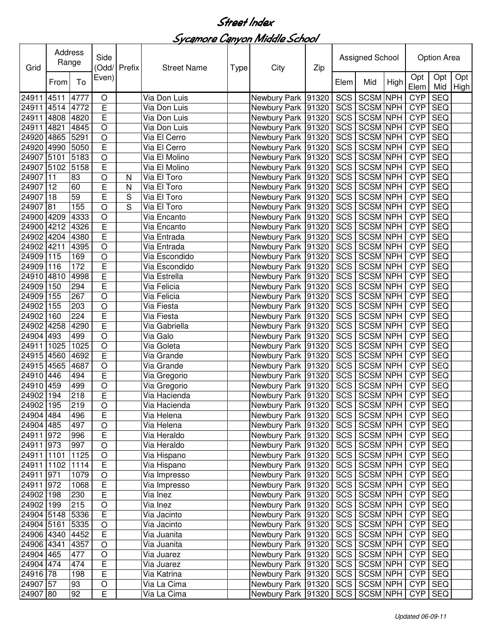| Grid       | Address<br>Range |      | Side<br>(Odd/ Prefix |   | <b>Street Name</b> |  | City<br>Zip<br>Type |  | Assigned School |                 |            | <b>Option Area</b> |            |                    |
|------------|------------------|------|----------------------|---|--------------------|--|---------------------|--|-----------------|-----------------|------------|--------------------|------------|--------------------|
|            | From             | To   | Even)                |   |                    |  |                     |  | Elem            | Mid             | High       | Opt<br>Elem        | Opt<br>Mid | Opt<br><b>High</b> |
| 24911      | 4511             | 4777 | O                    |   | Via Don Luis       |  | Newbury Park 91320  |  | SCS             | <b>SCSM</b>     | <b>NPH</b> | <b>CYP</b>         | <b>SEQ</b> |                    |
| 24911      | 4514             | 4772 | E                    |   | Via Don Luis       |  | Newbury Park 91320  |  | SCS             | <b>SCSM NPH</b> |            | <b>CYP</b>         | <b>SEQ</b> |                    |
| 24911      | 4808             | 4820 | E                    |   | Via Don Luis       |  | Newbury Park 91320  |  | SCS             | <b>SCSM NPH</b> |            | <b>CYP</b>         | <b>SEQ</b> |                    |
| 24911      | 4821             | 4845 | $\circ$              |   | Via Don Luis       |  | Newbury Park 91320  |  | SCS             | <b>SCSM NPH</b> |            | <b>CYP</b>         | <b>SEQ</b> |                    |
| 24920      | 4865             | 5291 | $\circ$              |   | Via El Cerro       |  | Newbury Park 91320  |  | SCS             | <b>SCSM NPH</b> |            | <b>CYP</b>         | <b>SEQ</b> |                    |
| 24920      | 4990             | 5050 | E                    |   | Via El Cerro       |  | Newbury Park 91320  |  | SCS             | <b>SCSM NPH</b> |            | <b>CYP</b>         | <b>SEQ</b> |                    |
| 24907      | 5101             | 5183 | $\circ$              |   | Via El Molino      |  | Newbury Park 91320  |  | SCS             | <b>SCSM NPH</b> |            | <b>CYP</b>         | <b>SEQ</b> |                    |
| 24907      | 5102             | 5158 | E                    |   | Via El Molino      |  | Newbury Park 91320  |  | SCS             | <b>SCSM NPH</b> |            | <b>CYP</b>         | <b>SEQ</b> |                    |
| 24907      | 11               | 83   | $\circ$              | N | Via El Toro        |  | Newbury Park 91320  |  | SCS             | <b>SCSM NPH</b> |            | <b>CYP</b>         | <b>SEQ</b> |                    |
| 24907      | 12               | 60   | E                    | N | Via El Toro        |  | Newbury Park 91320  |  | SCS             | <b>SCSM NPH</b> |            | <b>CYP</b>         | <b>SEQ</b> |                    |
| 24907      | 18               | 59   | E                    | S | Via El Toro        |  | Newbury Park 91320  |  | SCS             | <b>SCSM NPH</b> |            | <b>CYP</b>         | <b>SEQ</b> |                    |
| 24907      | 81               | 155  | $\circ$              | S | Via El Toro        |  | Newbury Park 91320  |  | SCS             | <b>SCSM NPH</b> |            | <b>CYP</b>         | <b>SEQ</b> |                    |
| 24900      | 4209             | 4333 | $\circ$              |   | Via Encanto        |  | Newbury Park 91320  |  | SCS             | <b>SCSM NPH</b> |            | <b>CYP</b>         | <b>SEQ</b> |                    |
| 24900      | 4212             | 4326 | E                    |   | Via Encanto        |  | Newbury Park 91320  |  | SCS             | <b>SCSM NPH</b> |            | <b>CYP</b>         | <b>SEQ</b> |                    |
| 24902      | 4204             | 4380 | $\overline{E}$       |   | Via Entrada        |  | Newbury Park 91320  |  | SCS             | <b>SCSM NPH</b> |            | <b>CYP</b>         | <b>SEQ</b> |                    |
| 24902      | 4211             | 4395 | $\overline{O}$       |   | Via Entrada        |  | Newbury Park 91320  |  | SCS             | <b>SCSM NPH</b> |            | <b>CYP</b>         | <b>SEQ</b> |                    |
| 24909      | 115              | 169  | $\circ$              |   | Via Escondido      |  | Newbury Park 91320  |  | SCS             | <b>SCSM NPH</b> |            | <b>CYP</b>         | <b>SEQ</b> |                    |
| 24909      | 116              | 172  | E                    |   | Via Escondido      |  | Newbury Park 91320  |  | <b>SCS</b>      | <b>SCSM NPH</b> |            | <b>CYP</b>         | <b>SEQ</b> |                    |
| 24910      | 4810             | 4998 | E                    |   | Via Estrella       |  | Newbury Park 91320  |  | <b>SCS</b>      | <b>SCSM NPH</b> |            | <b>CYP</b>         | <b>SEQ</b> |                    |
| 24909      | 150              | 294  | E                    |   | Via Felicia        |  | Newbury Park 91320  |  | <b>SCS</b>      | <b>SCSM NPH</b> |            | <b>CYP</b>         | <b>SEQ</b> |                    |
| 24909      | 155              | 267  | $\circ$              |   | Via Felicia        |  | Newbury Park 91320  |  | <b>SCS</b>      | <b>SCSM NPH</b> |            | <b>CYP</b>         | <b>SEQ</b> |                    |
| 24902      | 155              | 203  | $\circ$              |   | Via Fiesta         |  | Newbury Park 91320  |  | <b>SCS</b>      | <b>SCSM NPH</b> |            | <b>CYP</b>         | <b>SEQ</b> |                    |
| 24902      | 160              | 224  | E                    |   | Via Fiesta         |  | Newbury Park 91320  |  | SCS             | <b>SCSM NPH</b> |            | <b>CYP</b>         | <b>SEQ</b> |                    |
| 24902 4258 |                  | 4290 | E                    |   | Via Gabriella      |  | Newbury Park 91320  |  | <b>SCS</b>      | <b>SCSM NPH</b> |            | <b>CYP</b>         | <b>SEQ</b> |                    |
| 24904 493  |                  | 499  | $\circ$              |   | Via Galo           |  | Newbury Park 91320  |  | <b>SCS</b>      | <b>SCSM NPH</b> |            | <b>CYP</b>         | <b>SEQ</b> |                    |
| 24911      | 1025             | 1025 | $\circ$              |   | Via Goleta         |  | Newbury Park 91320  |  | SCS             | <b>SCSM NPH</b> |            | <b>CYP</b>         | <b>SEQ</b> |                    |
| 24915 4560 |                  | 4692 | E                    |   | Via Grande         |  | Newbury Park 91320  |  | SCS             | SCSM NPH        |            | <b>CYP</b>         | <b>SEQ</b> |                    |
| 24915      | 4565             | 4687 | $\circ$              |   | Via Grande         |  | Newbury Park 91320  |  | SCS             | <b>SCSM NPH</b> |            | <b>CYP</b>         | <b>SEQ</b> |                    |
| 24910      | 446              | 494  | E                    |   | Via Gregorio       |  | Newbury Park 91320  |  | SCS             | <b>SCSM</b>     | <b>NPH</b> | <b>CYP</b>         | <b>SEQ</b> |                    |
| 24910      | 459              | 499  | $\circ$              |   | Via Gregorio       |  | Newbury Park 91320  |  | SCS             | <b>SCSM</b>     | <b>NPH</b> | <b>CYP</b>         | <b>SEQ</b> |                    |
| 24902      | 194              | 218  | E                    |   | Via Hacienda       |  | Newbury Park 91320  |  | SCS             | <b>SCSM NPH</b> |            | <b>CYP</b>         | <b>SEQ</b> |                    |
| 24902 195  |                  | 219  | O                    |   | Via Hacienda       |  | Newbury Park  91320 |  |                 | SCS SCSM NPH    |            | <b>CYP</b>         | <b>SEQ</b> |                    |
| 24904 484  |                  | 496  | Е                    |   | Via Helena         |  | Newbury Park 91320  |  | SCS             | <b>SCSM NPH</b> |            | <b>CYP</b>         | <b>SEQ</b> |                    |
| 24904 485  |                  | 497  | $\bigcirc$           |   | Via Helena         |  | Newbury Park 91320  |  |                 | SCS SCSM NPH    |            | <b>CYP</b>         | <b>SEQ</b> |                    |
| 24911      | 972              | 996  | E                    |   | Via Heraldo        |  | Newbury Park 91320  |  |                 | SCS SCSM NPH    |            | <b>CYP</b>         | <b>SEQ</b> |                    |
| 24911      | 973              | 997  | $\bigcirc$           |   | Via Heraldo        |  | Newbury Park 91320  |  | SCS             | <b>SCSM NPH</b> |            | <b>CYP</b>         | <b>SEQ</b> |                    |
| 24911      | 1101             | 1125 | $\bigcirc$           |   | Via Hispano        |  | Newbury Park 91320  |  | SCS             | <b>SCSM NPH</b> |            | <b>CYP</b>         | <b>SEQ</b> |                    |
| 24911      | 1102             | 1114 | $\mathsf E$          |   | Via Hispano        |  | Newbury Park 91320  |  | <b>SCS</b>      | <b>SCSM NPH</b> |            | <b>CYP</b>         | <b>SEQ</b> |                    |
| 24911 971  |                  | 1079 | $\bigcirc$           |   | Via Impresso       |  | Newbury Park 91320  |  | SCS             | <b>SCSM NPH</b> |            | <b>CYP</b>         | <b>SEQ</b> |                    |
| 24911 972  |                  | 1068 | $\mathsf E$          |   | Via Impresso       |  | Newbury Park 91320  |  | <b>SCS</b>      | SCSM NPH        |            | <b>CYP</b>         | <b>SEQ</b> |                    |
| 24902 198  |                  | 230  | E                    |   | Via Inez           |  | Newbury Park 91320  |  | SCS             | <b>SCSM NPH</b> |            | <b>CYP</b>         | <b>SEQ</b> |                    |
| 24902 199  |                  | 215  | $\bigcirc$           |   | Via Inez           |  | Newbury Park 91320  |  |                 | SCS SCSM NPH    |            | <b>CYP</b>         | <b>SEQ</b> |                    |
| 24904 5148 |                  | 5336 | $\overline{E}$       |   | Via Jacinto        |  | Newbury Park 91320  |  |                 | SCS SCSM NPH    |            | <b>CYP</b>         | <b>SEQ</b> |                    |
| 24904 5161 |                  | 5335 | $\bigcirc$           |   | Via Jacinto        |  | Newbury Park 91320  |  |                 | SCS SCSM NPH    |            | <b>CYP</b>         | <b>SEQ</b> |                    |
| 24906 4340 |                  | 4452 | $\mathsf E$          |   | Via Juanita        |  | Newbury Park 91320  |  | SCS             | SCSM NPH        |            | <b>CYP</b>         | <b>SEQ</b> |                    |
| 24906 4341 |                  | 4357 | $\bigcirc$           |   | Via Juanita        |  | Newbury Park 91320  |  | SCS             | <b>SCSM NPH</b> |            | <b>CYP</b>         | <b>SEQ</b> |                    |
| 24904 465  |                  | 477  | $\bigcirc$           |   | Via Juarez         |  | Newbury Park 91320  |  | SCS             | <b>SCSM NPH</b> |            | <b>CYP</b>         | <b>SEQ</b> |                    |
| 24904 474  |                  | 474  | E                    |   | Via Juarez         |  | Newbury Park 91320  |  | SCS             | SCSM NPH        |            | <b>CYP</b>         | <b>SEQ</b> |                    |
| 24916 78   |                  | 198  | E                    |   | Via Katrina        |  | Newbury Park 91320  |  |                 | SCS SCSM NPH    |            | <b>CYP</b>         | <b>SEQ</b> |                    |
| 24907 57   |                  | 93   | O                    |   | Via La Cima        |  | Newbury Park 91320  |  |                 | SCS SCSM NPH    |            | <b>CYP</b>         | SEQ        |                    |
| 24907 80   |                  | 92   | E                    |   | Via La Cima        |  | Newbury Park 91320  |  |                 | SCS SCSM NPH    |            | <b>CYP</b>         | SEQ        |                    |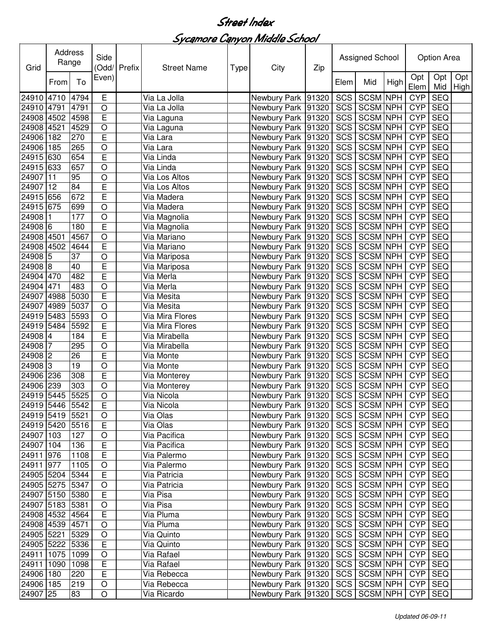| Grid            | Address<br>Range |      | Side<br>(Odd/ Prefix |  | <b>Street Name</b><br>Type |  | City                                  | Zip |                  | Assigned School |            | Option Area |            |                          |
|-----------------|------------------|------|----------------------|--|----------------------------|--|---------------------------------------|-----|------------------|-----------------|------------|-------------|------------|--------------------------|
|                 | From             | To   | Even)                |  |                            |  |                                       |     | Elem             | Mid             | High       | Opt<br>Elem | Opt<br>Mid | Opt<br>High <sup>1</sup> |
| 24910           | 4710             | 4794 | Е                    |  | Via La Jolla               |  | Newbury Park 91320                    |     | $SC\overline{S}$ | <b>SCSM NPH</b> |            | <b>CYP</b>  | <b>SEQ</b> |                          |
| 24910           | 4791             | 4791 | $\circ$              |  | Via La Jolla               |  | Newbury Park 91320                    |     | SCS              | <b>SCSM NPH</b> |            | <b>CYP</b>  | <b>SEQ</b> |                          |
| 24908           | 4502             | 4598 | E                    |  | Via Laguna                 |  | Newbury Park 91320                    |     | SCS              | <b>SCSM NPH</b> |            | <b>CYP</b>  | <b>SEQ</b> |                          |
| 24908           | 4521             | 4529 | $\circ$              |  | Via Laguna                 |  | Newbury Park 91320                    |     | SCS              | <b>SCSM NPH</b> |            | <b>CYP</b>  | <b>SEQ</b> |                          |
| 24906           | 182              | 270  | E                    |  | Via Lara                   |  | Newbury Park 91320                    |     | SCS              | <b>SCSM NPH</b> |            | <b>CYP</b>  | <b>SEQ</b> |                          |
| 24906           | 185              | 265  | O                    |  | Via Lara                   |  | Newbury Park 91320                    |     | SCS              | <b>SCSM NPH</b> |            | <b>CYP</b>  | <b>SEQ</b> |                          |
| 24915           | 630              | 654  | E                    |  | Via Linda                  |  | Newbury Park 91320                    |     | SCS              | <b>SCSM NPH</b> |            | <b>CYP</b>  | <b>SEQ</b> |                          |
| 24915 633       |                  | 657  | $\circ$              |  | Via Linda                  |  | Newbury Park 91320                    |     | SCS              | <b>SCSM NPH</b> |            | <b>CYP</b>  | <b>SEQ</b> |                          |
| 24907           | 11               | 95   | $\circ$              |  | Via Los Altos              |  | Newbury Park 91320                    |     | SCS              | <b>SCSM NPH</b> |            | <b>CYP</b>  | <b>SEQ</b> |                          |
| 24907           | 12               | 84   | E                    |  | Via Los Altos              |  | Newbury Park 91320                    |     | SCS              | <b>SCSM NPH</b> |            | <b>CYP</b>  | <b>SEQ</b> |                          |
| 24915 656       |                  | 672  | E                    |  | Via Madera                 |  | Newbury Park 91320                    |     | SCS              | <b>SCSM NPH</b> |            | <b>CYP</b>  | <b>SEQ</b> |                          |
| 24915           | 675              | 699  | $\circ$              |  | Via Madera                 |  | Newbury Park 91320                    |     | SCS              | SCSM NPH        |            | <b>CYP</b>  | <b>SEQ</b> |                          |
| 24908           |                  | 177  | $\circ$              |  | Via Magnolia               |  | Newbury Park 91320                    |     | SCS              | <b>SCSM NPH</b> |            | <b>CYP</b>  | <b>SEQ</b> |                          |
| 24908           | $6\phantom{1}6$  | 180  | E                    |  | Via Magnolia               |  | Newbury Park 91320                    |     | SCS              | <b>SCSM NPH</b> |            | <b>CYP</b>  | <b>SEQ</b> |                          |
| 24908           | 4501             | 4567 | $\circ$              |  | Via Mariano                |  | Newbury Park 91320                    |     | SCS              | <b>SCSM NPH</b> |            | <b>CYP</b>  | <b>SEQ</b> |                          |
| 24908           | 4502             | 4644 | E                    |  | Via Mariano                |  | Newbury Park 91320                    |     | SCS              | <b>SCSM NPH</b> |            | <b>CYP</b>  | SEQ        |                          |
| 24908           | $\overline{5}$   | 37   | $\circ$              |  | Via Mariposa               |  | Newbury Park 91320                    |     | <b>SCS</b>       | <b>SCSM NPH</b> |            | <b>CYP</b>  | <b>SEQ</b> |                          |
| 24908           | 8                | 40   | E                    |  | Via Mariposa               |  | Newbury Park 91320                    |     | <b>SCS</b>       | <b>SCSM NPH</b> |            | <b>CYP</b>  | <b>SEQ</b> |                          |
| 24904           | 470              | 482  | E                    |  | Via Merla                  |  | Newbury Park 91320                    |     | SCS              | <b>SCSM NPH</b> |            | <b>CYP</b>  | <b>SEQ</b> |                          |
| 24904           | 471              | 483  | $\circ$              |  | Via Merla                  |  | Newbury Park 91320                    |     | <b>SCS</b>       | <b>SCSM NPH</b> |            | <b>CYP</b>  | <b>SEQ</b> |                          |
| 24907           | 4988             | 5030 | E                    |  | Via Mesita                 |  | Newbury Park 91320                    |     | <b>SCS</b>       | <b>SCSM NPH</b> |            | <b>CYP</b>  | <b>SEQ</b> |                          |
| 24907           | 4989             | 5037 | $\circ$              |  | Via Mesita                 |  | Newbury Park 91320                    |     | <b>SCS</b>       | <b>SCSM NPH</b> |            | <b>CYP</b>  | <b>SEQ</b> |                          |
| 24919           | 5483             | 5593 | $\circ$              |  | Via Mira Flores            |  | Newbury Park 91320                    |     | <b>SCS</b>       | <b>SCSM NPH</b> |            | <b>CYP</b>  | <b>SEQ</b> |                          |
| 24919           | 5484             | 5592 | E                    |  | Via Mira Flores            |  | Newbury Park 91320                    |     | <b>SCS</b>       | <b>SCSM NPH</b> |            | <b>CYP</b>  | <b>SEQ</b> |                          |
| 24908 4         |                  | 184  | E                    |  | Via Mirabella              |  | Newbury Park 91320                    |     | SCS              | <b>SCSM NPH</b> |            | <b>CYP</b>  | <b>SEQ</b> |                          |
| 24908           | 7                | 295  | $\circ$              |  | Via Mirabella              |  | Newbury Park 91320                    |     | SCS              | <b>SCSM NPH</b> |            | <b>CYP</b>  | <b>SEQ</b> |                          |
| 24908 2         |                  | 26   | E                    |  | Via Monte                  |  | Newbury Park 91320                    |     | SCS              | <b>SCSM NPH</b> |            | <b>CYP</b>  | <b>SEQ</b> |                          |
| 24908 3         |                  | 19   | $\circ$              |  | Via Monte                  |  | Newbury Park 91320                    |     | SCS              | <b>SCSM NPH</b> |            | <b>CYP</b>  | <b>SEQ</b> |                          |
| 24906 236       |                  | 308  | E                    |  | Via Monterey               |  | Newbury Park 91320                    |     | SCS              | SCSM NPH        |            | <b>CYP</b>  | <b>SEQ</b> |                          |
| 24906           | 239              | 303  | $\circ$              |  | Via Monterey               |  | Newbury Park 91320                    |     | SCS              | <b>SCSM</b>     | <b>NPH</b> | <b>CYP</b>  | <b>SEQ</b> |                          |
| 24919 5445      |                  | 5525 | $\circ$              |  | Via Nicola                 |  | Newbury Park 91320                    |     | SCS              | <b>SCSM NPH</b> |            | <b>CYP</b>  | <b>SEQ</b> |                          |
| 24919 5446 5542 |                  |      | $\overline{E}$       |  | Via Nicola                 |  | Newbury Park 91320                    |     |                  | SCS SCSM NPH    |            | <b>CYP</b>  | SEQ        |                          |
| 24919 5419      |                  | 5521 | $\circ$              |  | Via Olas                   |  | Newbury Park   91320   SCS   SCSM NPH |     |                  |                 |            | <b>CYP</b>  | SEQ        |                          |
| 24919 5420      |                  | 5516 | $\overline{E}$       |  | Via Olas                   |  | Newbury Park 91320                    |     | SCS              | <b>SCSM NPH</b> |            | <b>CYP</b>  | <b>SEQ</b> |                          |
| 24907 103       |                  | 127  | $\bigcirc$           |  | Via Pacifica               |  | Newbury Park 91320                    |     | SCS              | <b>SCSM NPH</b> |            | <b>CYP</b>  | SEQ        |                          |
| 24907 104       |                  | 136  | E                    |  | Via Pacifica               |  | Newbury Park 91320                    |     |                  | SCS SCSM NPH    |            | <b>CYP</b>  | <b>SEQ</b> |                          |
| 24911 976       |                  | 1108 | $\mathsf E$          |  | Via Palermo                |  | Newbury Park 91320                    |     |                  | SCS SCSM NPH    |            | <b>CYP</b>  | <b>SEQ</b> |                          |
| 24911           | 977              | 1105 | $\bigcirc$           |  | Via Palermo                |  | Newbury Park 91320                    |     | SCS              | SCSM NPH        |            | <b>CYP</b>  | <b>SEQ</b> |                          |
| 24905 5204      |                  | 5344 | $\mathsf E$          |  | Via Patricia               |  | Newbury Park 91320                    |     | SCS              | SCSM NPH        |            | <b>CYP</b>  | <b>SEQ</b> |                          |
| 24905 5275      |                  | 5347 | $\bigcirc$           |  | Via Patricia               |  | Newbury Park 91320                    |     | SCS              | SCSM NPH        |            | <b>CYP</b>  | <b>SEQ</b> |                          |
| 24907 5150      |                  | 5380 | $\overline{E}$       |  | Via Pisa                   |  | Newbury Park 91320                    |     |                  | SCS SCSM NPH    |            | <b>CYP</b>  | <b>SEQ</b> |                          |
| 24907 5183      |                  | 5381 | $\bigcirc$           |  | Via Pisa                   |  | Newbury Park 91320                    |     | SCS              | SCSM NPH        |            | <b>CYP</b>  | <b>SEQ</b> |                          |
| 24908 4532      |                  | 4564 | $\mathsf E$          |  | Via Pluma                  |  | Newbury Park 91320                    |     |                  | SCS SCSM NPH    |            | <b>CYP</b>  | <b>SEQ</b> |                          |
| 24908 4539      |                  | 4571 | $\bigcirc$           |  | Via Pluma                  |  | Newbury Park 91320                    |     |                  | SCS SCSM NPH    |            | <b>CYP</b>  | <b>SEQ</b> |                          |
| 24905 5221      |                  | 5329 | $\bigcirc$           |  | Via Quinto                 |  | Newbury Park 91320                    |     |                  | SCS SCSM NPH    |            | <b>CYP</b>  | <b>SEQ</b> |                          |
| 24905 5222      |                  | 5336 | $\mathsf E$          |  | Via Quinto                 |  | Newbury Park 91320                    |     |                  | SCS SCSM NPH    |            | <b>CYP</b>  | <b>SEQ</b> |                          |
| 24911 1075      |                  | 1099 | $\mathsf O$          |  | Via Rafael                 |  | Newbury Park 91320                    |     | SCS              | SCSM NPH        |            | <b>CYP</b>  | <b>SEQ</b> |                          |
| 24911           | 1090             | 1098 | E                    |  | Via Rafael                 |  | Newbury Park 91320                    |     | SCS              | SCSM NPH        |            | <b>CYP</b>  | <b>SEQ</b> |                          |
| 24906 180       |                  | 220  | $\overline{E}$       |  | Via Rebecca                |  | Newbury Park 91320                    |     |                  | SCS SCSM NPH    |            | <b>CYP</b>  | <b>SEQ</b> |                          |
| 24906 185       |                  | 219  | $\bigcirc$           |  | Via Rebecca                |  | Newbury Park 91320                    |     |                  | SCS SCSM NPH    |            | <b>CYP</b>  | SEQ        |                          |
| 24907 25        |                  | 83   | $\circ$              |  | Via Ricardo                |  | Newbury Park 91320                    |     |                  | SCS SCSM NPH    |            | <b>CYP</b>  | SEQ        |                          |
|                 |                  |      |                      |  |                            |  |                                       |     |                  |                 |            |             |            |                          |